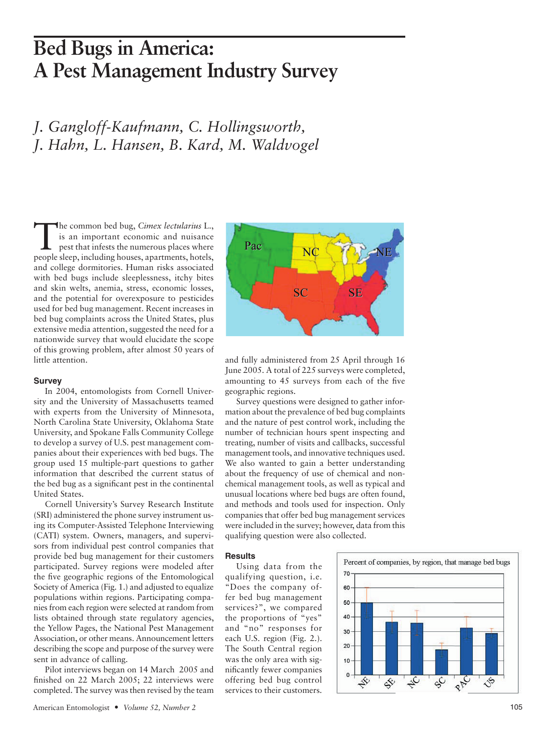## Bed Bugs in America:<br>
A Pest Management Industry Survey<br>
J. Gangloff-Kaufmann, C. Hollingsworth,<br>
J. Hahn, L. Hansen, B. Kard, M. Waldvogel<br>
The common bed bug, *Cimex lectularius* L. **Bed Bugs in America: A Pest Management Industry Survey**

*J. Gangloff-Kaufmann, C. Hollingsworth, J. Hahn, L. Hansen, B. Kard, M. Waldvogel*

people steep, including houses, apartments, hotels, and college dormitories. Human risks associated and the potential for overexposure to pesticides used for bed bug management. Recent increases in Intionwide survey that would elucidate the scope<br>of this growing problem, after almost 50 years of<br>the stration, i.e. and fully administered from 25 The common bed bug, *Cimex lectularius* L.,<br>is an important economic and nuisance<br>pest that infests the numerous places where is an important economic and nuisance pest that infests the numerous places where people sleep, including houses, apartments, hotels, with bed bugs include sleeplessness, itchy bites and skin welts, anemia, stress, economic losses, and the potential for overexposure to pesticides bed bug complaints across the United States, plus extensive media attention, suggested the need for a nationwide survey that would elucidate the scope little attention.

## **Survey**

In 2004, entomologists from Cornell University and the University of Massachusetts teamed with experts from the University of Minnesota, North Carolina State University, Oklahoma State University, and Spokane Falls Community College to develop a survey of U.S. pest management companies about their experiences with bed bugs. The group used 15 multiple-part questions to gather information that described the current status of the bed bug as a significant pest in the continental United States.

**Survey**<br>In 2004, entomologists from Cornell Univer-<br>
are<br>outing to 45 surveys from each of<br>
sity and the University of Massachusetts teamed to since we designed to gat<br>
with experts from the University, Oklahoma State an Cornell University's Survey Research Institute (SRI) administered the phone survey instrument using its Computer-Assisted Telephone Interviewing (CATI) system. Owners, managers, and supervisors from individual pest control companies that provide bed bug management for their customers participated. Survey regions were modeled after the five geographic regions of the Entomological Society of America (Fig. 1.) and adjusted to equalize populations within regions. Participating companies from each region were selected at random from lists obtained through state regulatory agencies, the Yellow Pages, the National Pest Management Association, or other means. Announcement letters describing the scope and purpose of the survey were sent in advance of calling.

Pilot interviews began on 14 March 2005 and finished on 22 March 2005; 22 interviews were completed. The survey was then revised by the team



and fully administered from 25 April through 16 June 2005. A total of 225 surveys were completed, amounting to 45 surveys from each of the five geographic regions.

Survey questions were designed to gather information about the prevalence of bed bug complaints and the nature of pest control work, including the number of technician hours spent inspecting and treating, number of visits and callbacks, successful management tools, and innovative techniques used. We also wanted to gain a better understanding about the frequency of use of chemical and nonchemical management tools, as well as typical and unusual locations where bed bugs are often found, and methods and tools used for inspection. Only companies that offer bed bug management services were included in the survey; however, data from this qualifying question were also collected. SE<br>
SE<br>
25 April through 16<br>
eys were completed,<br>
om each of the five<br>
gned to gather infor-<br>
fbed bug complaints<br>
work, including the<br>
pent inspecting and<br>
callbacks, successful<br>
titer understanding<br>
ether understanding<br>

## **Results**

Using data from the qualifying question, i.e. "Does the company offer bed bug management services?", we compared the proportions of "yes" and "no" responses for each U.S. region (Fig. 2.). The South Central region was the only area with significantly fewer companies offering bed bug control services to their customers.